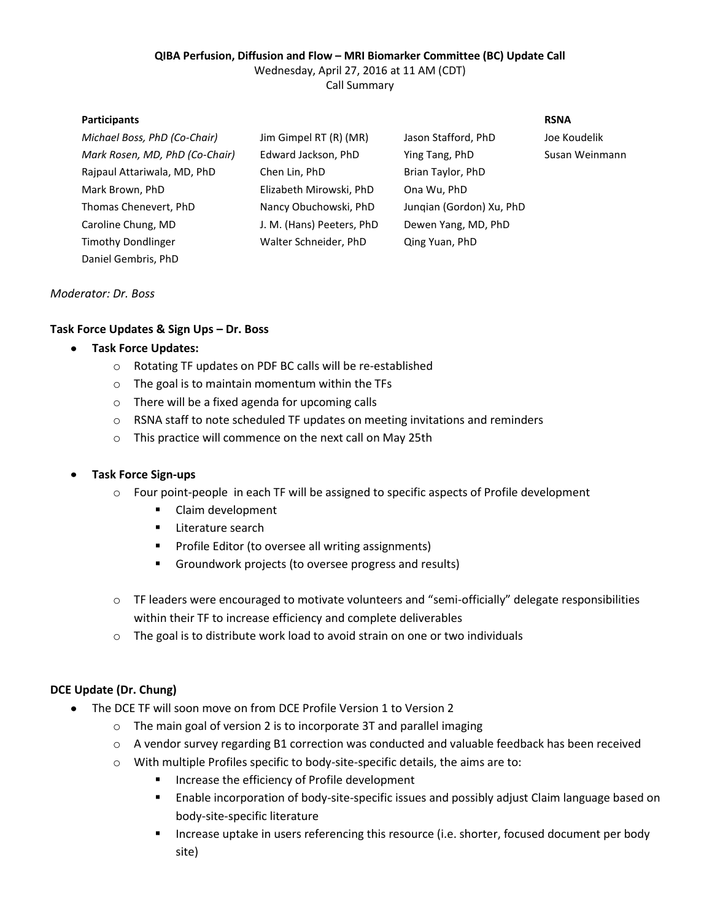## **QIBA Perfusion, Diffusion and Flow – MRI Biomarker Committee (BC) Update Call**

Wednesday, April 27, 2016 at 11 AM (CDT)

Call Summary

#### **Participants RSNA**

| Michael Boss, PhD (Co-Chair)   | Jim Gimpel RT (R) (MR)    | Jason Stafford, PhD      | Joe Koudelik   |
|--------------------------------|---------------------------|--------------------------|----------------|
| Mark Rosen, MD, PhD (Co-Chair) | Edward Jackson, PhD       | Ying Tang, PhD           | Susan Weinmann |
| Raipaul Attariwala, MD, PhD    | Chen Lin, PhD             | Brian Taylor, PhD        |                |
| Mark Brown, PhD                | Elizabeth Mirowski, PhD   | Ona Wu, PhD              |                |
| Thomas Chenevert, PhD          | Nancy Obuchowski, PhD     | Jungian (Gordon) Xu, PhD |                |
| Caroline Chung, MD             | J. M. (Hans) Peeters, PhD | Dewen Yang, MD, PhD      |                |
| <b>Timothy Dondlinger</b>      | Walter Schneider, PhD     | Qing Yuan, PhD           |                |
| Daniel Gembris, PhD            |                           |                          |                |

### *Moderator: Dr. Boss*

# **Task Force Updates & Sign Ups – Dr. Boss**

### **Task Force Updates:**

- o Rotating TF updates on PDF BC calls will be re-established
- o The goal is to maintain momentum within the TFs
- o There will be a fixed agenda for upcoming calls
- o RSNA staff to note scheduled TF updates on meeting invitations and reminders
- o This practice will commence on the next call on May 25th

### **Task Force Sign-ups**

- o Four point-people in each TF will be assigned to specific aspects of Profile development
	- Claim development
	- **Literature search**
	- **Profile Editor (to oversee all writing assignments)**
	- Groundwork projects (to oversee progress and results)
- o TF leaders were encouraged to motivate volunteers and "semi-officially" delegate responsibilities within their TF to increase efficiency and complete deliverables
- o The goal is to distribute work load to avoid strain on one or two individuals

# **DCE Update (Dr. Chung)**

- $\bullet$ The DCE TF will soon move on from DCE Profile Version 1 to Version 2
	- o The main goal of version 2 is to incorporate 3T and parallel imaging
	- o A vendor survey regarding B1 correction was conducted and valuable feedback has been received
	- o With multiple Profiles specific to body-site-specific details, the aims are to:
		- **Increase the efficiency of Profile development**
		- **E** Enable incorporation of body-site-specific issues and possibly adjust Claim language based on body-site-specific literature
		- **Increase uptake in users referencing this resource (i.e. shorter, focused document per body** site)